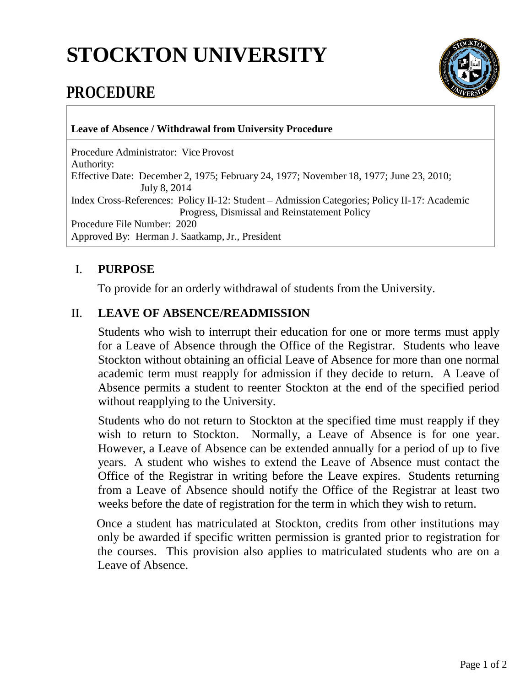# **STOCKTON UNIVERSITY**



## **PROCEDURE**

**Leave of Absence / Withdrawal from University Procedure** 

Procedure Administrator: Vice Provost Authority: Effective Date: December 2, 1975; February 24, 1977; November 18, 1977; June 23, 2010; July 8, 2014 Index Cross-References: Policy II-12: Student – Admission Categories; Policy II-17: Academic Progress, Dismissal and Reinstatement Policy Procedure File Number: 2020 Approved By: Herman J. Saatkamp, Jr., President

#### I. **PURPOSE**

To provide for an orderly withdrawal of students from the University.

### II. **LEAVE OF ABSENCE/READMISSION**

Students who wish to interrupt their education for one or more terms must apply for a Leave of Absence through the Office of the Registrar. Students who leave Stockton without obtaining an official Leave of Absence for more than one normal academic term must reapply for admission if they decide to return. A Leave of Absence permits a student to reenter Stockton at the end of the specified period without reapplying to the University.

Students who do not return to Stockton at the specified time must reapply if they wish to return to Stockton. Normally, a Leave of Absence is for one year. However, a Leave of Absence can be extended annually for a period of up to five years. A student who wishes to extend the Leave of Absence must contact the Office of the Registrar in writing before the Leave expires. Students returning from a Leave of Absence should notify the Office of the Registrar at least two weeks before the date of registration for the term in which they wish to return.

Once a student has matriculated at Stockton, credits from other institutions may only be awarded if specific written permission is granted prior to registration for the courses. This provision also applies to matriculated students who are on a Leave of Absence.